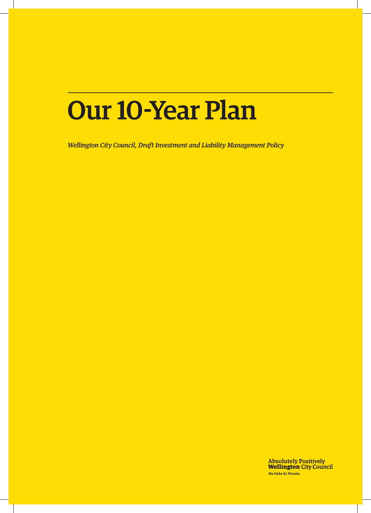# Our 10-Year Plan

*Wellington City Council, Draft Investment and Liability Management Policy* 

Absolutely Positively<br>**Wellington** City Council Me Heke Ki Põneke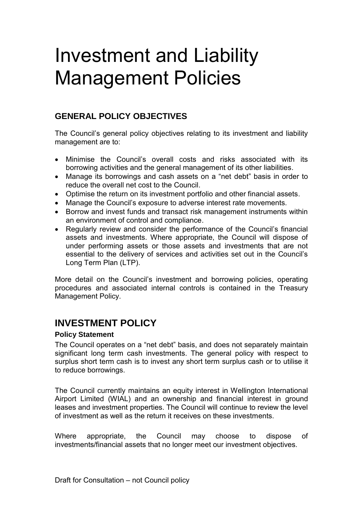## Investment and Liability Management Policies

## **GENERAL POLICY OBJECTIVES**

The Council's general policy objectives relating to its investment and liability management are to:

- Minimise the Council's overall costs and risks associated with its borrowing activities and the general management of its other liabilities.
- Manage its borrowings and cash assets on a "net debt" basis in order to reduce the overall net cost to the Council.
- Optimise the return on its investment portfolio and other financial assets.
- Manage the Council's exposure to adverse interest rate movements.
- Borrow and invest funds and transact risk management instruments within an environment of control and compliance.
- Regularly review and consider the performance of the Council's financial assets and investments. Where appropriate, the Council will dispose of under performing assets or those assets and investments that are not essential to the delivery of services and activities set out in the Council's Long Term Plan (LTP).

More detail on the Council's investment and borrowing policies, operating procedures and associated internal controls is contained in the Treasury Management Policy.

## **INVESTMENT POLICY**

## **Policy Statement**

The Council operates on a "net debt" basis, and does not separately maintain significant long term cash investments. The general policy with respect to surplus short term cash is to invest any short term surplus cash or to utilise it to reduce borrowings.

The Council currently maintains an equity interest in Wellington International Airport Limited (WIAL) and an ownership and financial interest in ground leases and investment properties. The Council will continue to review the level of investment as well as the return it receives on these investments.

Where appropriate, the Council may choose to dispose of investments/financial assets that no longer meet our investment objectives.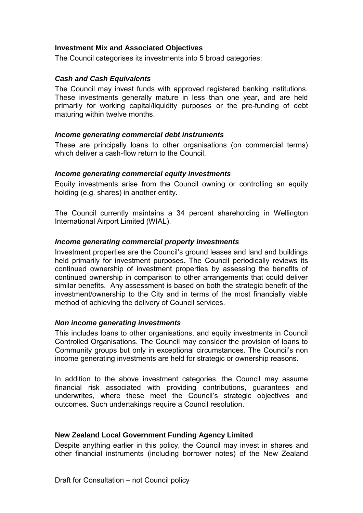## **Investment Mix and Associated Objectives**

The Council categorises its investments into 5 broad categories:

## *Cash and Cash Equivalents*

The Council may invest funds with approved registered banking institutions. These investments generally mature in less than one year, and are held primarily for working capital/liquidity purposes or the pre-funding of debt maturing within twelve months.

#### *Income generating commercial debt instruments*

These are principally loans to other organisations (on commercial terms) which deliver a cash-flow return to the Council.

## *Income generating commercial equity investments*

Equity investments arise from the Council owning or controlling an equity holding (e.g. shares) in another entity.

The Council currently maintains a 34 percent shareholding in Wellington International Airport Limited (WIAL).

## *Income generating commercial property investments*

Investment properties are the Council's ground leases and land and buildings held primarily for investment purposes. The Council periodically reviews its continued ownership of investment properties by assessing the benefits of continued ownership in comparison to other arrangements that could deliver similar benefits. Any assessment is based on both the strategic benefit of the investment/ownership to the City and in terms of the most financially viable method of achieving the delivery of Council services.

## *Non income generating investments*

This includes loans to other organisations, and equity investments in Council Controlled Organisations. The Council may consider the provision of loans to Community groups but only in exceptional circumstances. The Council's non income generating investments are held for strategic or ownership reasons.

In addition to the above investment categories, the Council may assume financial risk associated with providing contributions, guarantees and underwrites, where these meet the Council's strategic objectives and outcomes. Such undertakings require a Council resolution.

## **New Zealand Local Government Funding Agency Limited**

Despite anything earlier in this policy, the Council may invest in shares and other financial instruments (including borrower notes) of the New Zealand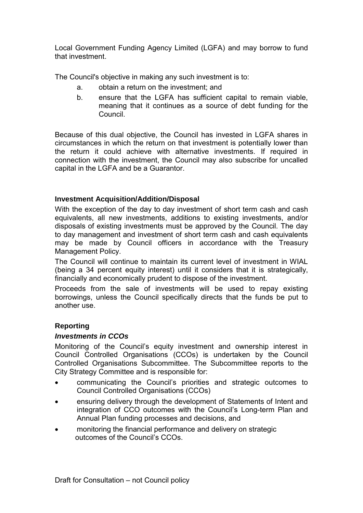Local Government Funding Agency Limited (LGFA) and may borrow to fund that investment.

The Council's objective in making any such investment is to:

- a. obtain a return on the investment; and
- b. ensure that the LGFA has sufficient capital to remain viable, meaning that it continues as a source of debt funding for the Council.

Because of this dual objective, the Council has invested in LGFA shares in circumstances in which the return on that investment is potentially lower than the return it could achieve with alternative investments. If required in connection with the investment, the Council may also subscribe for uncalled capital in the LGFA and be a Guarantor.

## **Investment Acquisition/Addition/Disposal**

With the exception of the day to day investment of short term cash and cash equivalents, all new investments, additions to existing investments, and/or disposals of existing investments must be approved by the Council. The day to day management and investment of short term cash and cash equivalents may be made by Council officers in accordance with the Treasury Management Policy.

The Council will continue to maintain its current level of investment in WIAL (being a 34 percent equity interest) until it considers that it is strategically, financially and economically prudent to dispose of the investment.

Proceeds from the sale of investments will be used to repay existing borrowings, unless the Council specifically directs that the funds be put to another use.

## **Reporting**

## *Investments in CCOs*

Monitoring of the Council's equity investment and ownership interest in Council Controlled Organisations (CCOs) is undertaken by the Council Controlled Organisations Subcommittee. The Subcommittee reports to the City Strategy Committee and is responsible for:

- communicating the Council's priorities and strategic outcomes to Council Controlled Organisations (CCOs)
- ensuring delivery through the development of Statements of Intent and integration of CCO outcomes with the Council's Long-term Plan and Annual Plan funding processes and decisions, and
- monitoring the financial performance and delivery on strategic outcomes of the Council's CCOs.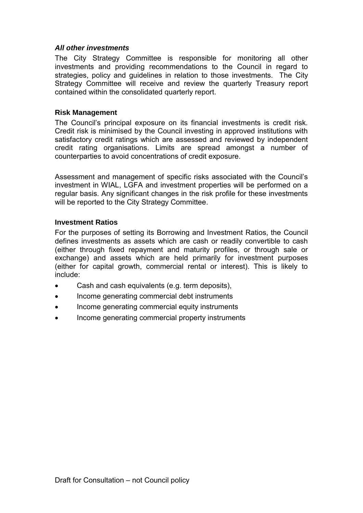## *All other investments*

The City Strategy Committee is responsible for monitoring all other investments and providing recommendations to the Council in regard to strategies, policy and guidelines in relation to those investments. The City Strategy Committee will receive and review the quarterly Treasury report contained within the consolidated quarterly report.

## **Risk Management**

The Council's principal exposure on its financial investments is credit risk. Credit risk is minimised by the Council investing in approved institutions with satisfactory credit ratings which are assessed and reviewed by independent credit rating organisations. Limits are spread amongst a number of counterparties to avoid concentrations of credit exposure.

Assessment and management of specific risks associated with the Council's investment in WIAL, LGFA and investment properties will be performed on a regular basis. Any significant changes in the risk profile for these investments will be reported to the City Strategy Committee.

## **Investment Ratios**

For the purposes of setting its Borrowing and Investment Ratios, the Council defines investments as assets which are cash or readily convertible to cash (either through fixed repayment and maturity profiles, or through sale or exchange) and assets which are held primarily for investment purposes (either for capital growth, commercial rental or interest). This is likely to include:

- Cash and cash equivalents (e.g. term deposits),
- Income generating commercial debt instruments
- Income generating commercial equity instruments
- Income generating commercial property instruments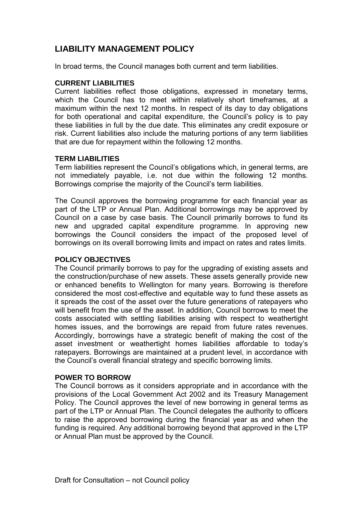## **LIABILITY MANAGEMENT POLICY**

In broad terms, the Council manages both current and term liabilities.

## **CURRENT LIABILITIES**

Current liabilities reflect those obligations, expressed in monetary terms, which the Council has to meet within relatively short timeframes, at a maximum within the next 12 months. In respect of its day to day obligations for both operational and capital expenditure, the Council's policy is to pay these liabilities in full by the due date. This eliminates any credit exposure or risk. Current liabilities also include the maturing portions of any term liabilities that are due for repayment within the following 12 months.

## **TERM LIABILITIES**

Term liabilities represent the Council's obligations which, in general terms, are not immediately payable, i.e. not due within the following 12 months. Borrowings comprise the majority of the Council's term liabilities.

The Council approves the borrowing programme for each financial year as part of the LTP or Annual Plan. Additional borrowings may be approved by Council on a case by case basis. The Council primarily borrows to fund its new and upgraded capital expenditure programme. In approving new borrowings the Council considers the impact of the proposed level of borrowings on its overall borrowing limits and impact on rates and rates limits.

## **POLICY OBJECTIVES**

The Council primarily borrows to pay for the upgrading of existing assets and the construction/purchase of new assets. These assets generally provide new or enhanced benefits to Wellington for many years. Borrowing is therefore considered the most cost-effective and equitable way to fund these assets as it spreads the cost of the asset over the future generations of ratepayers who will benefit from the use of the asset. In addition, Council borrows to meet the costs associated with settling liabilities arising with respect to weathertight homes issues, and the borrowings are repaid from future rates revenues. Accordingly, borrowings have a strategic benefit of making the cost of the asset investment or weathertight homes liabilities affordable to today's ratepayers. Borrowings are maintained at a prudent level, in accordance with the Council's overall financial strategy and specific borrowing limits.

## **POWER TO BORROW**

The Council borrows as it considers appropriate and in accordance with the provisions of the Local Government Act 2002 and its Treasury Management Policy. The Council approves the level of new borrowing in general terms as part of the LTP or Annual Plan. The Council delegates the authority to officers to raise the approved borrowing during the financial year as and when the funding is required. Any additional borrowing beyond that approved in the LTP or Annual Plan must be approved by the Council.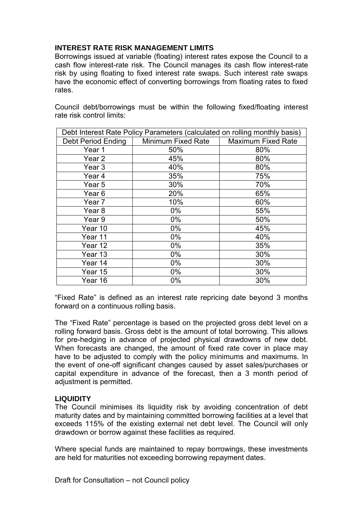## **INTEREST RATE RISK MANAGEMENT LIMITS**

Borrowings issued at variable (floating) interest rates expose the Council to a cash flow interest-rate risk. The Council manages its cash flow interest-rate risk by using floating to fixed interest rate swaps. Such interest rate swaps have the economic effect of converting borrowings from floating rates to fixed rates.

Council debt/borrowings must be within the following fixed/floating interest rate risk control limits:

| Debt Interest Rate Policy Parameters (calculated on rolling monthly basis) |                    |                           |  |  |
|----------------------------------------------------------------------------|--------------------|---------------------------|--|--|
| Debt Period Ending                                                         | Minimum Fixed Rate | <b>Maximum Fixed Rate</b> |  |  |
| Year 1                                                                     | 50%                | 80%                       |  |  |
| Year 2                                                                     | 45%                | 80%                       |  |  |
| Year <sub>3</sub>                                                          | 40%                | 80%                       |  |  |
| Year <sub>4</sub>                                                          | 35%                | 75%                       |  |  |
| Year 5                                                                     | 30%                | 70%                       |  |  |
| Year <sub>6</sub>                                                          | 20%                | 65%                       |  |  |
| Year 7                                                                     | 10%                | 60%                       |  |  |
| Year <sub>8</sub>                                                          | $0\%$              | 55%                       |  |  |
| Year 9                                                                     | $0\%$              | 50%                       |  |  |
| Year 10                                                                    | $0\%$              | 45%                       |  |  |
| Year 11                                                                    | $0\%$              | 40%                       |  |  |
| Year 12                                                                    | $0\%$              | 35%                       |  |  |
| Year 13                                                                    | $0\%$              | 30%                       |  |  |
| Year 14                                                                    | $0\%$              | 30%                       |  |  |
| Year 15                                                                    | $0\%$              | 30%                       |  |  |
| Year 16                                                                    | $0\%$              | 30%                       |  |  |

"Fixed Rate" is defined as an interest rate repricing date beyond 3 months forward on a continuous rolling basis.

The "Fixed Rate" percentage is based on the projected gross debt level on a rolling forward basis. Gross debt is the amount of total borrowing. This allows for pre-hedging in advance of projected physical drawdowns of new debt. When forecasts are changed, the amount of fixed rate cover in place may have to be adjusted to comply with the policy minimums and maximums. In the event of one-off significant changes caused by asset sales/purchases or capital expenditure in advance of the forecast, then a 3 month period of adjustment is permitted.

## **LIQUIDITY**

The Council minimises its liquidity risk by avoiding concentration of debt maturity dates and by maintaining committed borrowing facilities at a level that exceeds 115% of the existing external net debt level. The Council will only drawdown or borrow against these facilities as required.

Where special funds are maintained to repay borrowings, these investments are held for maturities not exceeding borrowing repayment dates.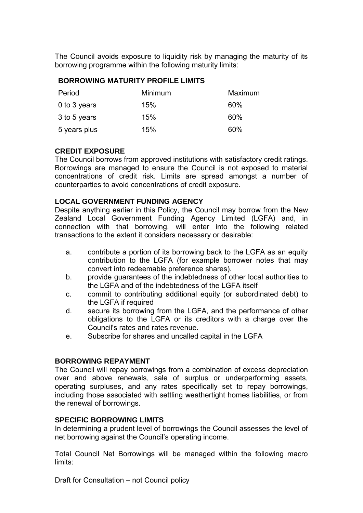The Council avoids exposure to liquidity risk by managing the maturity of its borrowing programme within the following maturity limits:

## **BORROWING MATURITY PROFILE LIMITS**

| Period       | Minimum | Maximum |
|--------------|---------|---------|
| 0 to 3 years | 15%     | 60%     |
| 3 to 5 years | 15%     | 60%     |
| 5 years plus | 15%     | 60%     |

## **CREDIT EXPOSURE**

The Council borrows from approved institutions with satisfactory credit ratings. Borrowings are managed to ensure the Council is not exposed to material concentrations of credit risk. Limits are spread amongst a number of counterparties to avoid concentrations of credit exposure.

## **LOCAL GOVERNMENT FUNDING AGENCY**

Despite anything earlier in this Policy, the Council may borrow from the New Zealand Local Government Funding Agency Limited (LGFA) and, in connection with that borrowing, will enter into the following related transactions to the extent it considers necessary or desirable:

- a. contribute a portion of its borrowing back to the LGFA as an equity contribution to the LGFA (for example borrower notes that may convert into redeemable preference shares).
- b. provide guarantees of the indebtedness of other local authorities to the LGFA and of the indebtedness of the LGFA itself
- c. commit to contributing additional equity (or subordinated debt) to the LGFA if required
- d. secure its borrowing from the LGFA, and the performance of other obligations to the LGFA or its creditors with a charge over the Council's rates and rates revenue.
- e. Subscribe for shares and uncalled capital in the LGFA

## **BORROWING REPAYMENT**

The Council will repay borrowings from a combination of excess depreciation over and above renewals, sale of surplus or underperforming assets, operating surpluses, and any rates specifically set to repay borrowings, including those associated with settling weathertight homes liabilities, or from the renewal of borrowings.

## **SPECIFIC BORROWING LIMITS**

In determining a prudent level of borrowings the Council assesses the level of net borrowing against the Council's operating income.

Total Council Net Borrowings will be managed within the following macro limits:

Draft for Consultation – not Council policy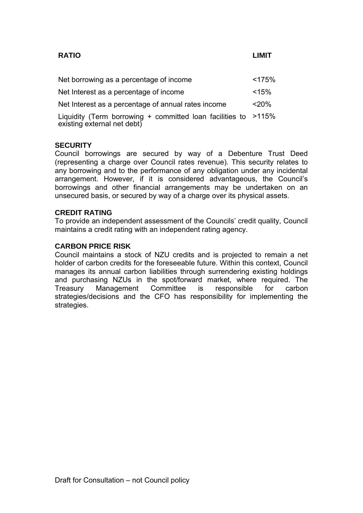## **RATIO LIMIT**

| Net borrowing as a percentage of income                                                       | < 175%  |
|-----------------------------------------------------------------------------------------------|---------|
| Net Interest as a percentage of income                                                        | < 15%   |
| Net Interest as a percentage of annual rates income                                           | $<$ 20% |
| Liquidity (Term borrowing + committed loan facilities to >115%<br>existing external net debt) |         |

## **SECURITY**

Council borrowings are secured by way of a Debenture Trust Deed (representing a charge over Council rates revenue). This security relates to any borrowing and to the performance of any obligation under any incidental arrangement. However, if it is considered advantageous, the Council's borrowings and other financial arrangements may be undertaken on an unsecured basis, or secured by way of a charge over its physical assets.

#### **CREDIT RATING**

To provide an independent assessment of the Councils' credit quality, Council maintains a credit rating with an independent rating agency.

## **CARBON PRICE RISK**

Council maintains a stock of NZU credits and is projected to remain a net holder of carbon credits for the foreseeable future. Within this context, Council manages its annual carbon liabilities through surrendering existing holdings and purchasing NZUs in the spot/forward market, where required. The Treasury Management Committee is responsible for carbon strategies/decisions and the CFO has responsibility for implementing the strategies.